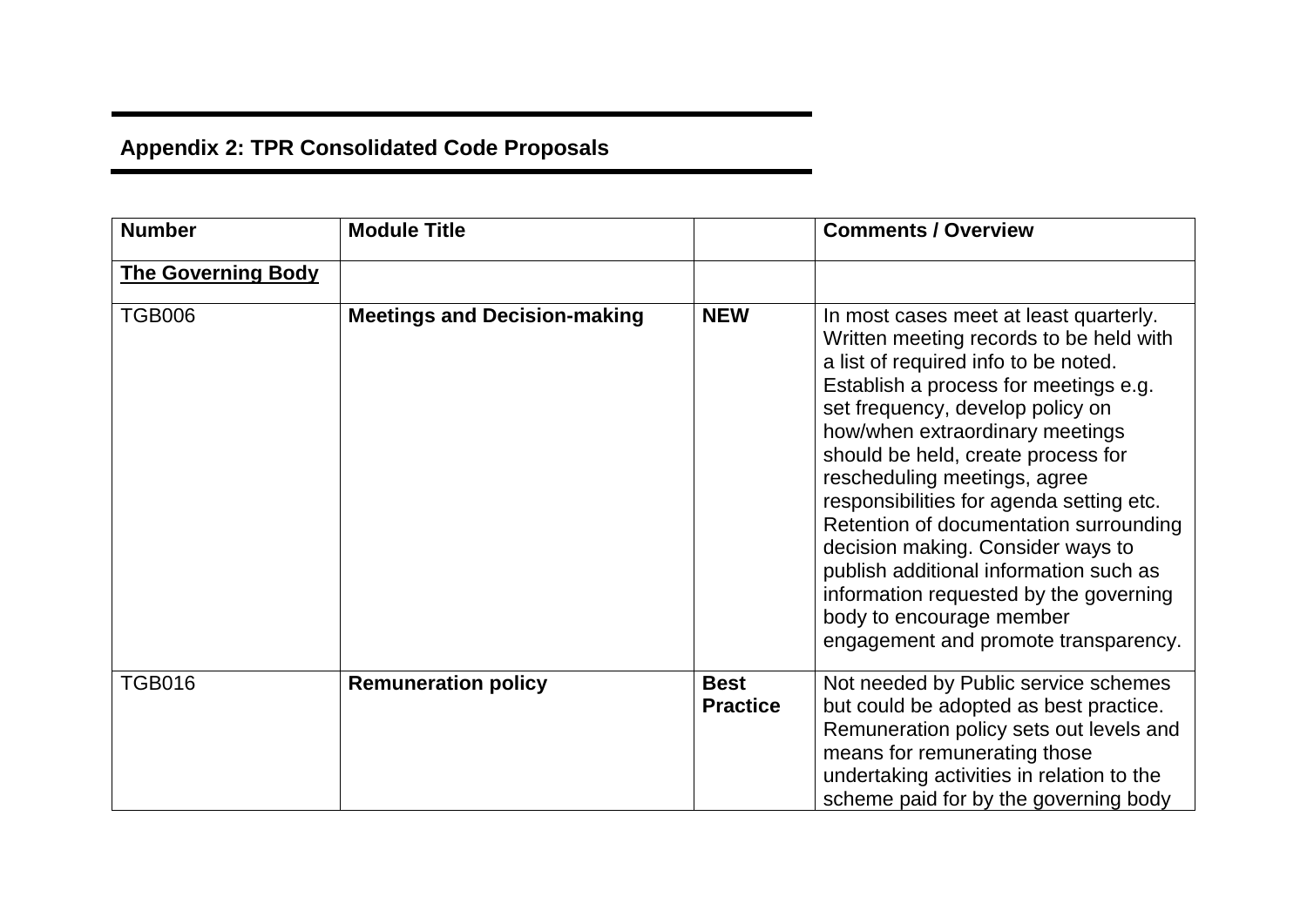## **Appendix 2: TPR Consolidated Code Proposals**

| <b>Number</b>             | <b>Module Title</b>                 |                                | <b>Comments / Overview</b>                                                                                                                                                                                                                                                                                                                                                                                                                                                                                                                                                                         |
|---------------------------|-------------------------------------|--------------------------------|----------------------------------------------------------------------------------------------------------------------------------------------------------------------------------------------------------------------------------------------------------------------------------------------------------------------------------------------------------------------------------------------------------------------------------------------------------------------------------------------------------------------------------------------------------------------------------------------------|
| <b>The Governing Body</b> |                                     |                                |                                                                                                                                                                                                                                                                                                                                                                                                                                                                                                                                                                                                    |
| <b>TGB006</b>             | <b>Meetings and Decision-making</b> | <b>NEW</b>                     | In most cases meet at least quarterly.<br>Written meeting records to be held with<br>a list of required info to be noted.<br>Establish a process for meetings e.g.<br>set frequency, develop policy on<br>how/when extraordinary meetings<br>should be held, create process for<br>rescheduling meetings, agree<br>responsibilities for agenda setting etc.<br>Retention of documentation surrounding<br>decision making. Consider ways to<br>publish additional information such as<br>information requested by the governing<br>body to encourage member<br>engagement and promote transparency. |
| <b>TGB016</b>             | <b>Remuneration policy</b>          | <b>Best</b><br><b>Practice</b> | Not needed by Public service schemes<br>but could be adopted as best practice.<br>Remuneration policy sets out levels and<br>means for remunerating those<br>undertaking activities in relation to the<br>scheme paid for by the governing body                                                                                                                                                                                                                                                                                                                                                    |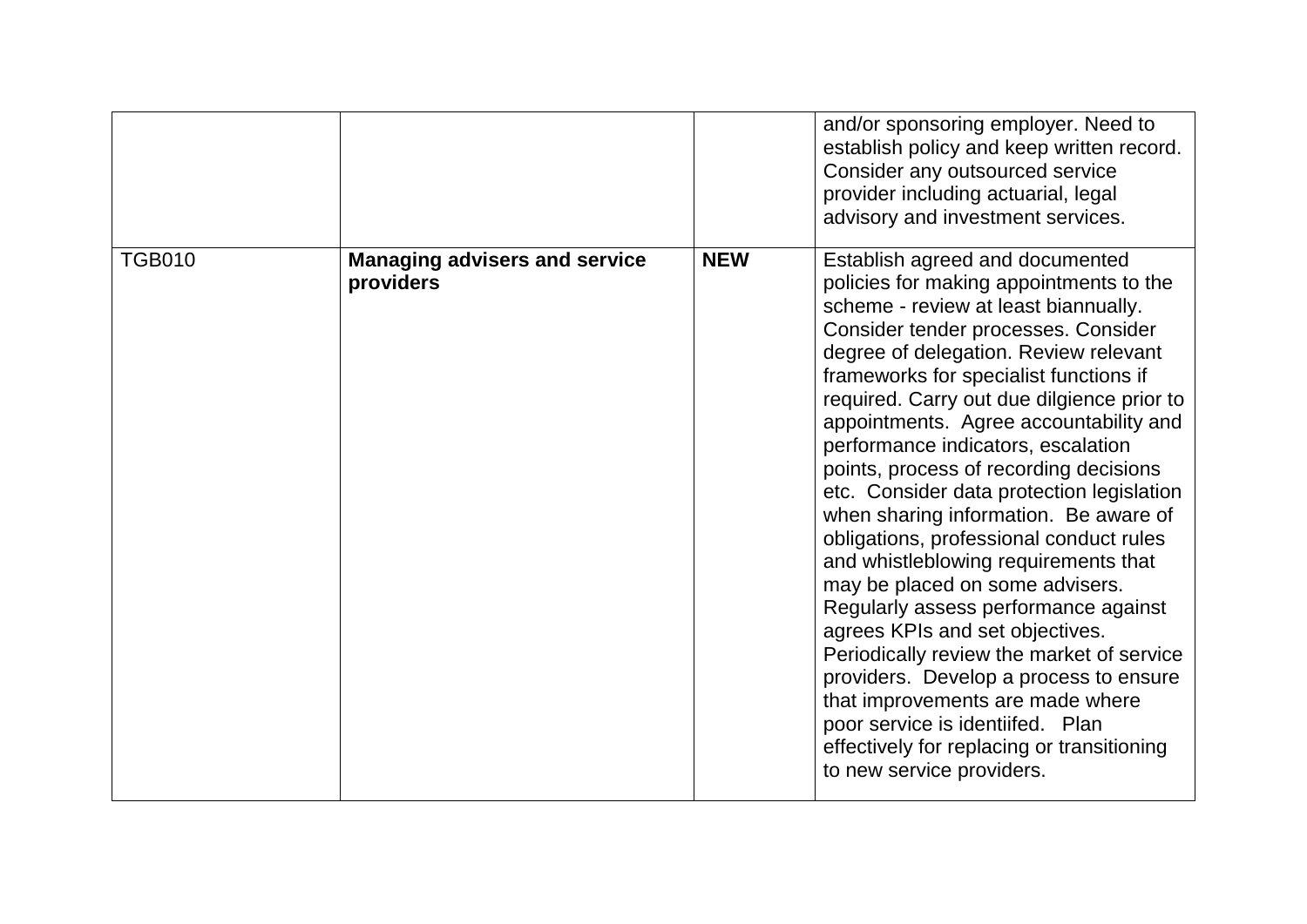|               |                                                   |            | and/or sponsoring employer. Need to<br>establish policy and keep written record.<br>Consider any outsourced service<br>provider including actuarial, legal<br>advisory and investment services.                                                                                                                                                                                                                                                                                                                                                                                                                                                                                                                                                                                                                                                                                                                                                       |
|---------------|---------------------------------------------------|------------|-------------------------------------------------------------------------------------------------------------------------------------------------------------------------------------------------------------------------------------------------------------------------------------------------------------------------------------------------------------------------------------------------------------------------------------------------------------------------------------------------------------------------------------------------------------------------------------------------------------------------------------------------------------------------------------------------------------------------------------------------------------------------------------------------------------------------------------------------------------------------------------------------------------------------------------------------------|
| <b>TGB010</b> | <b>Managing advisers and service</b><br>providers | <b>NEW</b> | Establish agreed and documented<br>policies for making appointments to the<br>scheme - review at least biannually.<br>Consider tender processes. Consider<br>degree of delegation. Review relevant<br>frameworks for specialist functions if<br>required. Carry out due dilgience prior to<br>appointments. Agree accountability and<br>performance indicators, escalation<br>points, process of recording decisions<br>etc. Consider data protection legislation<br>when sharing information. Be aware of<br>obligations, professional conduct rules<br>and whistleblowing requirements that<br>may be placed on some advisers.<br>Regularly assess performance against<br>agrees KPIs and set objectives.<br>Periodically review the market of service<br>providers. Develop a process to ensure<br>that improvements are made where<br>poor service is identiifed. Plan<br>effectively for replacing or transitioning<br>to new service providers. |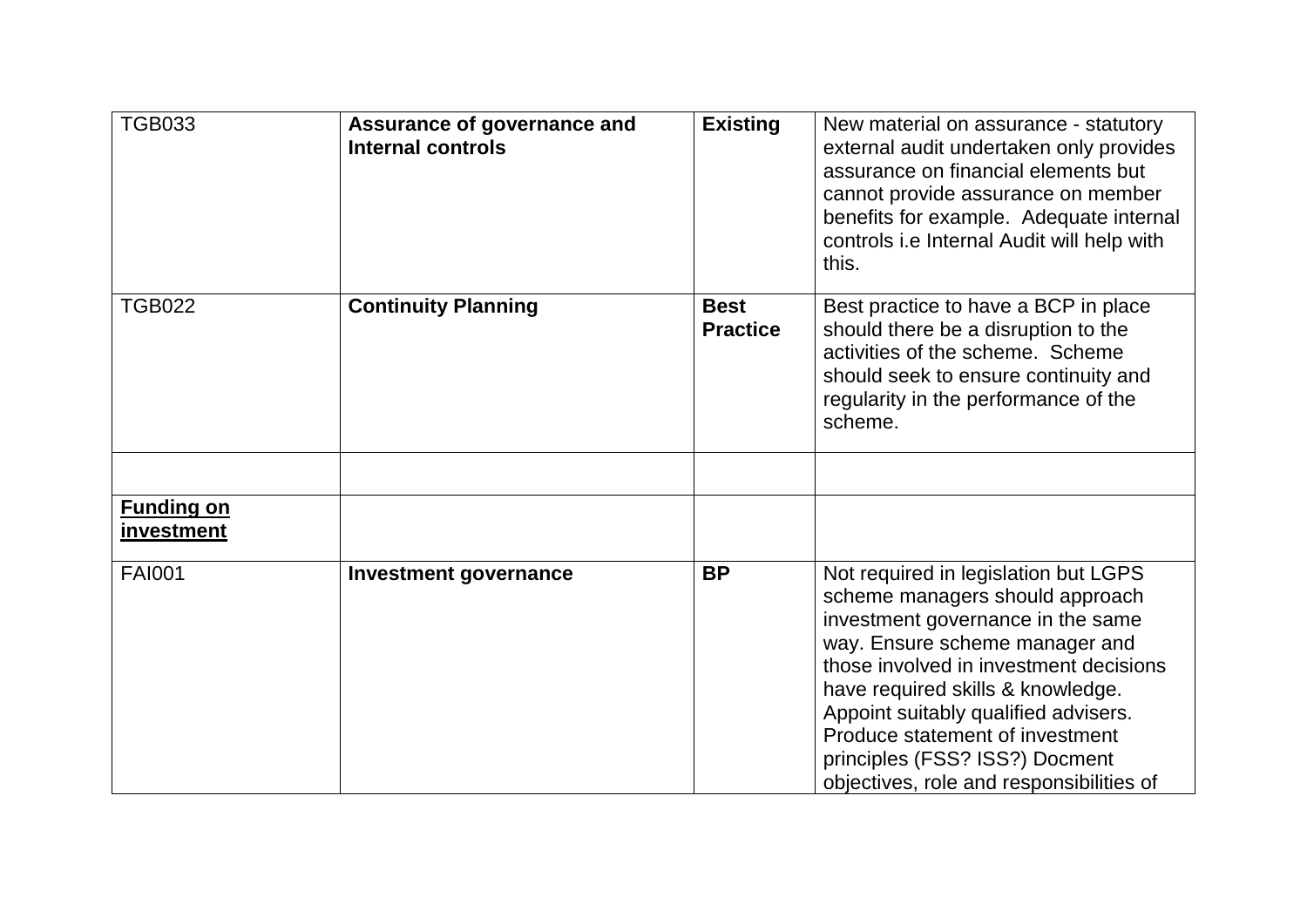| <b>TGB033</b>                   | Assurance of governance and<br><b>Internal controls</b> | <b>Existing</b>                | New material on assurance - statutory<br>external audit undertaken only provides<br>assurance on financial elements but<br>cannot provide assurance on member<br>benefits for example. Adequate internal<br>controls i.e Internal Audit will help with<br>this.                                                                                                                        |
|---------------------------------|---------------------------------------------------------|--------------------------------|----------------------------------------------------------------------------------------------------------------------------------------------------------------------------------------------------------------------------------------------------------------------------------------------------------------------------------------------------------------------------------------|
| <b>TGB022</b>                   | <b>Continuity Planning</b>                              | <b>Best</b><br><b>Practice</b> | Best practice to have a BCP in place<br>should there be a disruption to the<br>activities of the scheme. Scheme<br>should seek to ensure continuity and<br>regularity in the performance of the<br>scheme.                                                                                                                                                                             |
| <b>Funding on</b><br>investment |                                                         |                                |                                                                                                                                                                                                                                                                                                                                                                                        |
| <b>FAI001</b>                   | <b>Investment governance</b>                            | <b>BP</b>                      | Not required in legislation but LGPS<br>scheme managers should approach<br>investment governance in the same<br>way. Ensure scheme manager and<br>those involved in investment decisions<br>have required skills & knowledge.<br>Appoint suitably qualified advisers.<br>Produce statement of investment<br>principles (FSS? ISS?) Docment<br>objectives, role and responsibilities of |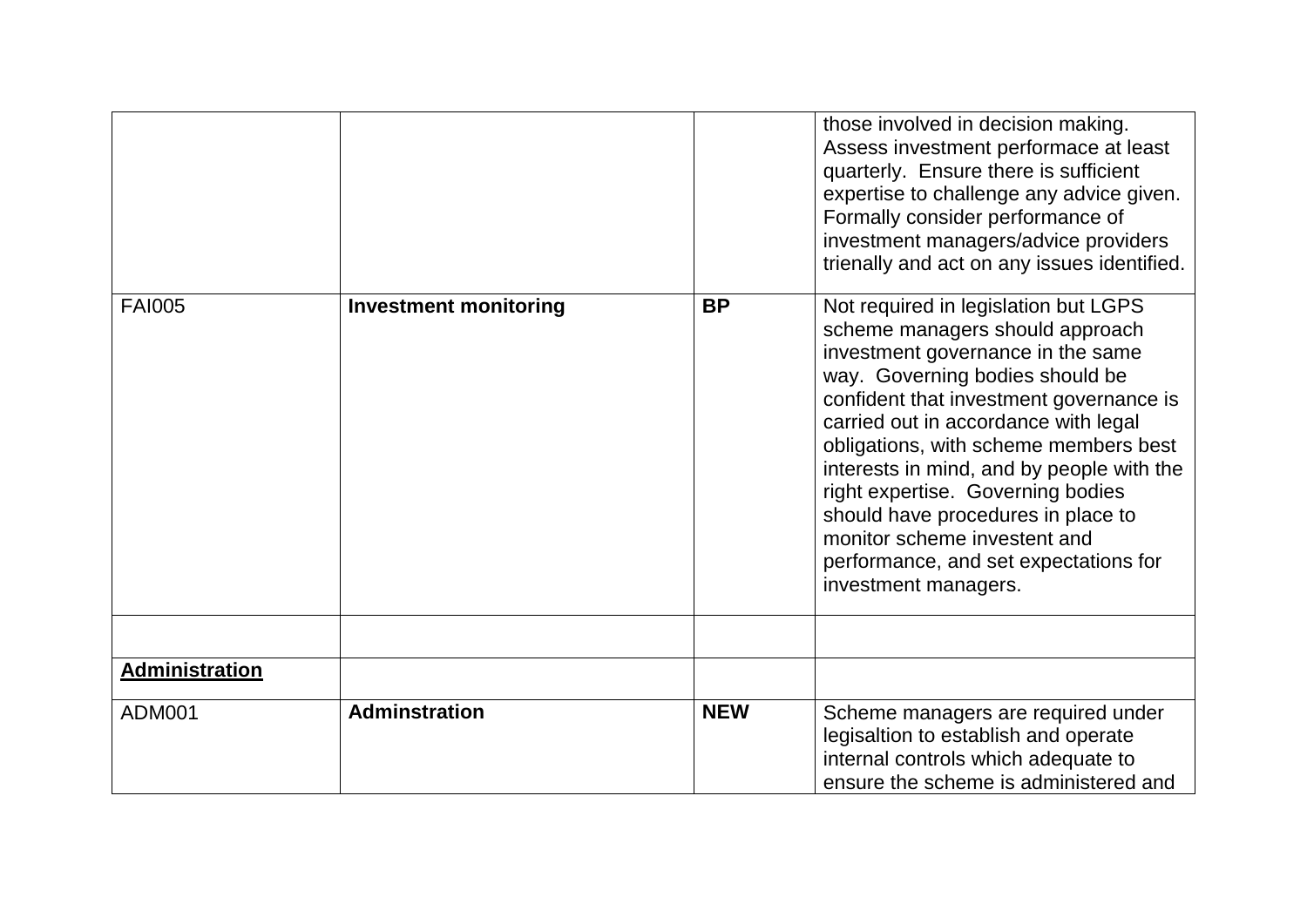|                |                              |            | those involved in decision making.<br>Assess investment performace at least<br>quarterly. Ensure there is sufficient<br>expertise to challenge any advice given.<br>Formally consider performance of<br>investment managers/advice providers<br>trienally and act on any issues identified.                                                                                                                                                                                                          |
|----------------|------------------------------|------------|------------------------------------------------------------------------------------------------------------------------------------------------------------------------------------------------------------------------------------------------------------------------------------------------------------------------------------------------------------------------------------------------------------------------------------------------------------------------------------------------------|
| <b>FAI005</b>  | <b>Investment monitoring</b> | <b>BP</b>  | Not required in legislation but LGPS<br>scheme managers should approach<br>investment governance in the same<br>way. Governing bodies should be<br>confident that investment governance is<br>carried out in accordance with legal<br>obligations, with scheme members best<br>interests in mind, and by people with the<br>right expertise. Governing bodies<br>should have procedures in place to<br>monitor scheme investent and<br>performance, and set expectations for<br>investment managers. |
|                |                              |            |                                                                                                                                                                                                                                                                                                                                                                                                                                                                                                      |
| Administration |                              |            |                                                                                                                                                                                                                                                                                                                                                                                                                                                                                                      |
| <b>ADM001</b>  | <b>Adminstration</b>         | <b>NEW</b> | Scheme managers are required under<br>legisaltion to establish and operate<br>internal controls which adequate to<br>ensure the scheme is administered and                                                                                                                                                                                                                                                                                                                                           |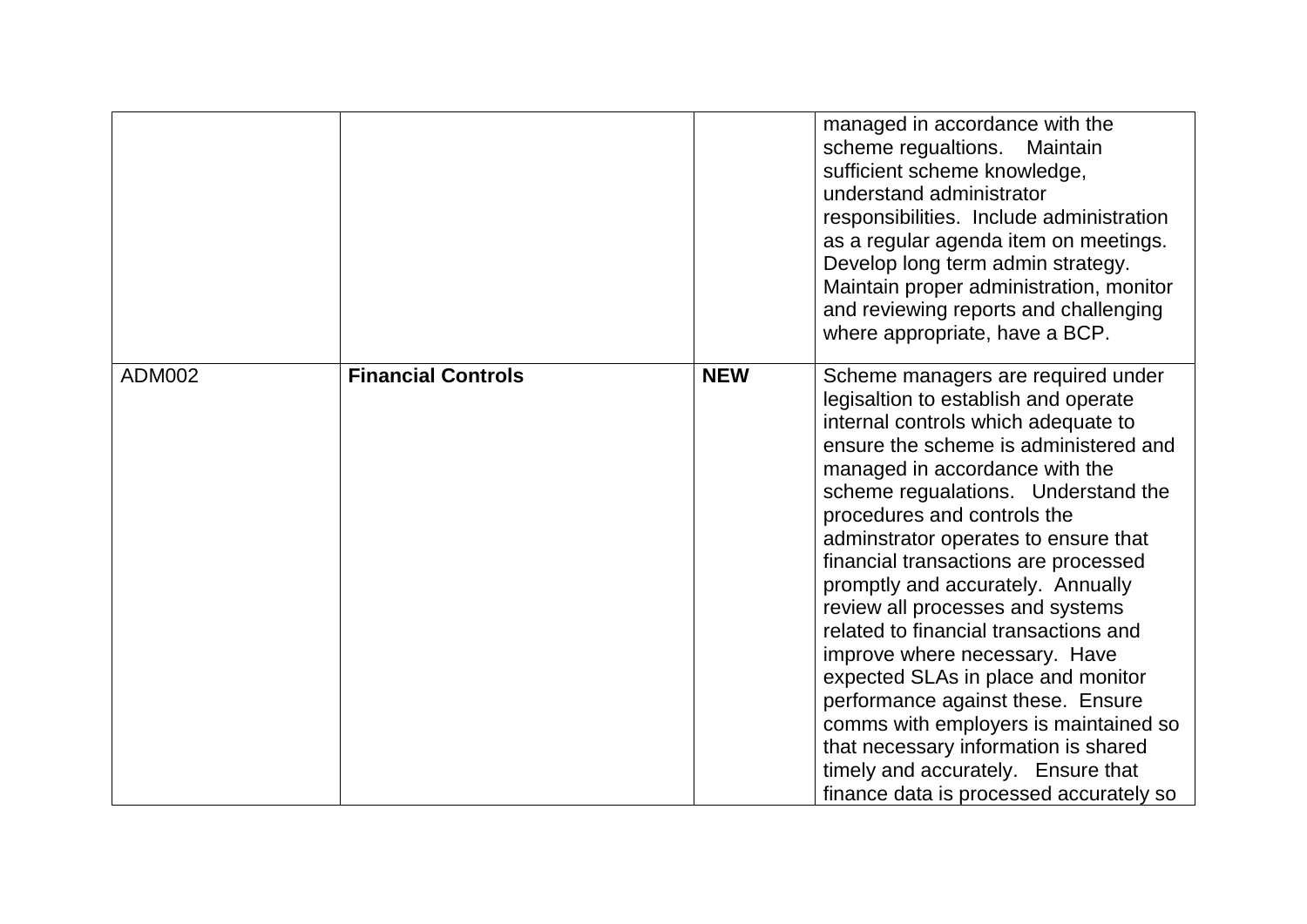|               |                           |            | managed in accordance with the<br>scheme regualtions. Maintain<br>sufficient scheme knowledge,<br>understand administrator<br>responsibilities. Include administration<br>as a regular agenda item on meetings.<br>Develop long term admin strategy.<br>Maintain proper administration, monitor<br>and reviewing reports and challenging<br>where appropriate, have a BCP.                                                                                                                                                                                                                                                                                                                                                                         |
|---------------|---------------------------|------------|----------------------------------------------------------------------------------------------------------------------------------------------------------------------------------------------------------------------------------------------------------------------------------------------------------------------------------------------------------------------------------------------------------------------------------------------------------------------------------------------------------------------------------------------------------------------------------------------------------------------------------------------------------------------------------------------------------------------------------------------------|
| <b>ADM002</b> | <b>Financial Controls</b> | <b>NEW</b> | Scheme managers are required under<br>legisaltion to establish and operate<br>internal controls which adequate to<br>ensure the scheme is administered and<br>managed in accordance with the<br>scheme regualations. Understand the<br>procedures and controls the<br>adminstrator operates to ensure that<br>financial transactions are processed<br>promptly and accurately. Annually<br>review all processes and systems<br>related to financial transactions and<br>improve where necessary. Have<br>expected SLAs in place and monitor<br>performance against these. Ensure<br>comms with employers is maintained so<br>that necessary information is shared<br>timely and accurately. Ensure that<br>finance data is processed accurately so |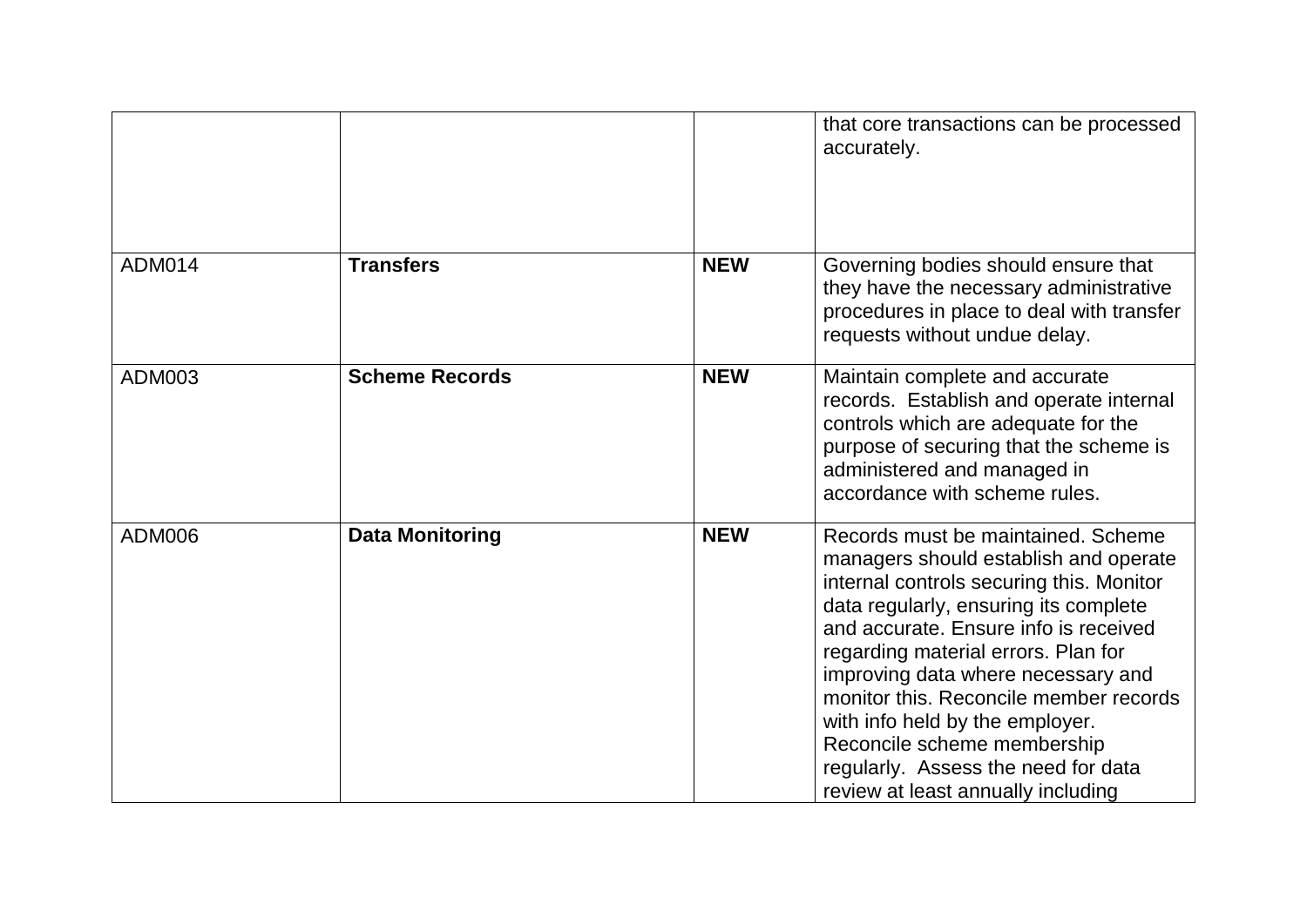|               |                        |            | that core transactions can be processed<br>accurately.                                                                                                                                                                                                                                                                                                                                                                                                                          |
|---------------|------------------------|------------|---------------------------------------------------------------------------------------------------------------------------------------------------------------------------------------------------------------------------------------------------------------------------------------------------------------------------------------------------------------------------------------------------------------------------------------------------------------------------------|
| <b>ADM014</b> | <b>Transfers</b>       | <b>NEW</b> | Governing bodies should ensure that<br>they have the necessary administrative<br>procedures in place to deal with transfer<br>requests without undue delay.                                                                                                                                                                                                                                                                                                                     |
| ADM003        | <b>Scheme Records</b>  | <b>NEW</b> | Maintain complete and accurate<br>records. Establish and operate internal<br>controls which are adequate for the<br>purpose of securing that the scheme is<br>administered and managed in<br>accordance with scheme rules.                                                                                                                                                                                                                                                      |
| <b>ADM006</b> | <b>Data Monitoring</b> | <b>NEW</b> | Records must be maintained. Scheme<br>managers should establish and operate<br>internal controls securing this. Monitor<br>data regularly, ensuring its complete<br>and accurate. Ensure info is received<br>regarding material errors. Plan for<br>improving data where necessary and<br>monitor this. Reconcile member records<br>with info held by the employer.<br>Reconcile scheme membership<br>regularly. Assess the need for data<br>review at least annually including |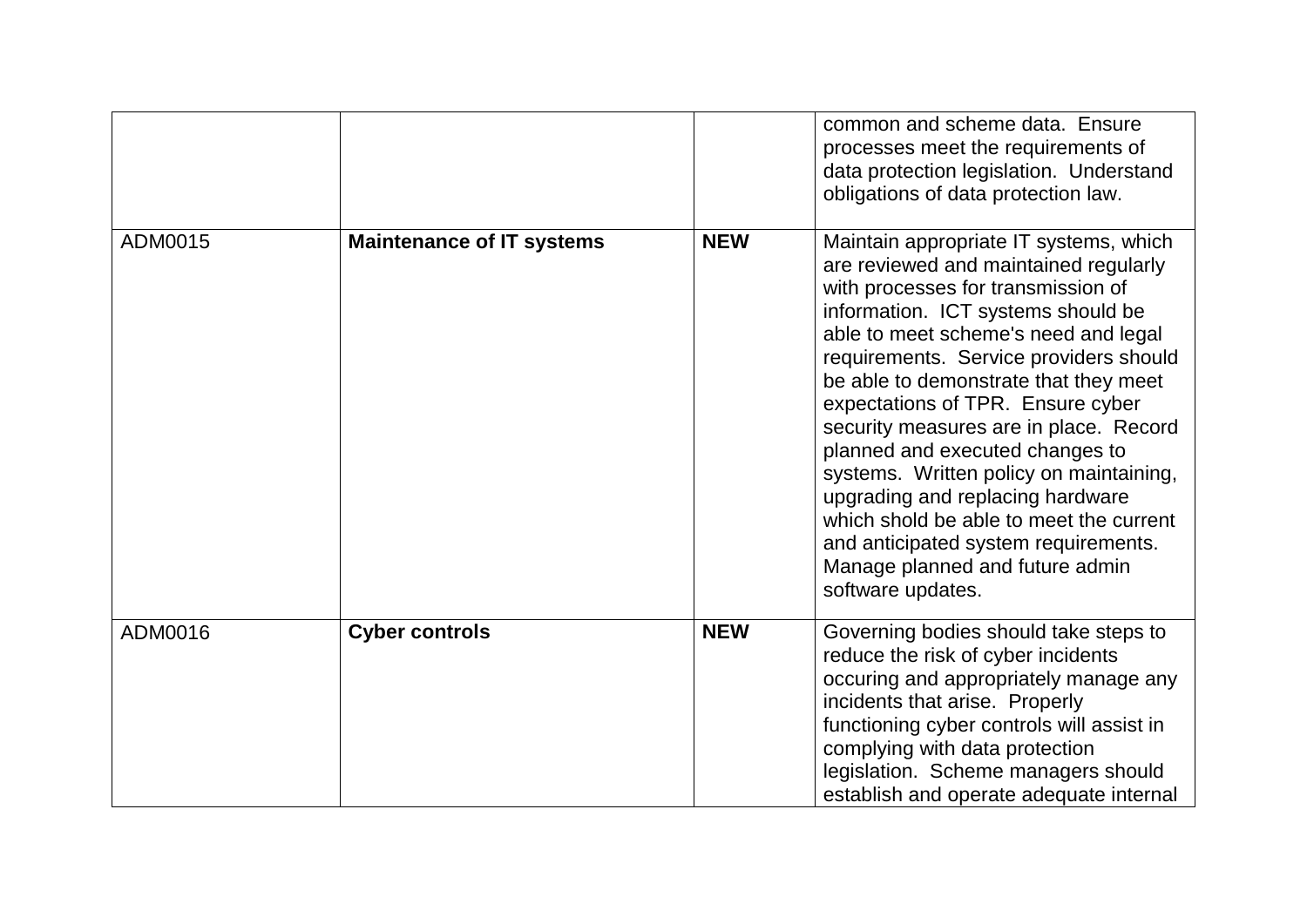|         |                                  |            | common and scheme data. Ensure<br>processes meet the requirements of<br>data protection legislation. Understand<br>obligations of data protection law.                                                                                                                                                                                                                                                                                                                                                                                                                                                                             |
|---------|----------------------------------|------------|------------------------------------------------------------------------------------------------------------------------------------------------------------------------------------------------------------------------------------------------------------------------------------------------------------------------------------------------------------------------------------------------------------------------------------------------------------------------------------------------------------------------------------------------------------------------------------------------------------------------------------|
| ADM0015 | <b>Maintenance of IT systems</b> | <b>NEW</b> | Maintain appropriate IT systems, which<br>are reviewed and maintained regularly<br>with processes for transmission of<br>information. ICT systems should be<br>able to meet scheme's need and legal<br>requirements. Service providers should<br>be able to demonstrate that they meet<br>expectations of TPR. Ensure cyber<br>security measures are in place. Record<br>planned and executed changes to<br>systems. Written policy on maintaining,<br>upgrading and replacing hardware<br>which shold be able to meet the current<br>and anticipated system requirements.<br>Manage planned and future admin<br>software updates. |
| ADM0016 | <b>Cyber controls</b>            | <b>NEW</b> | Governing bodies should take steps to<br>reduce the risk of cyber incidents<br>occuring and appropriately manage any<br>incidents that arise. Properly<br>functioning cyber controls will assist in<br>complying with data protection<br>legislation. Scheme managers should<br>establish and operate adequate internal                                                                                                                                                                                                                                                                                                            |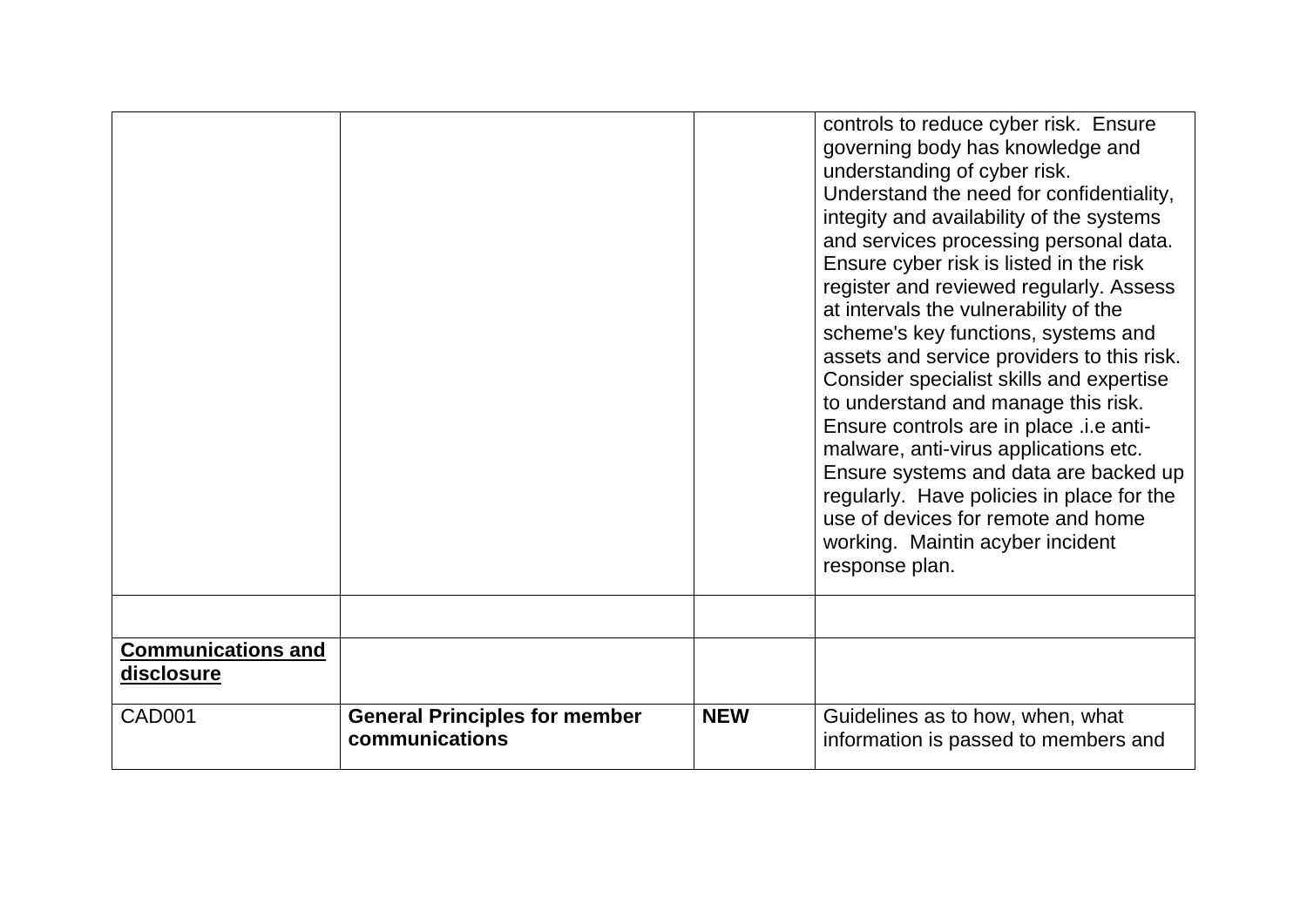| <b>Communications and</b><br>disclosure<br><b>CAD001</b> | <b>General Principles for member</b><br>communications | <b>NEW</b> | Ensure controls are in place .i.e anti-<br>malware, anti-virus applications etc.<br>Ensure systems and data are backed up<br>regularly. Have policies in place for the<br>use of devices for remote and home<br>working. Maintin acyber incident<br>response plan.<br>Guidelines as to how, when, what<br>information is passed to members and                                                                                                                                                                                                     |
|----------------------------------------------------------|--------------------------------------------------------|------------|----------------------------------------------------------------------------------------------------------------------------------------------------------------------------------------------------------------------------------------------------------------------------------------------------------------------------------------------------------------------------------------------------------------------------------------------------------------------------------------------------------------------------------------------------|
|                                                          |                                                        |            | controls to reduce cyber risk. Ensure<br>governing body has knowledge and<br>understanding of cyber risk.<br>Understand the need for confidentiality,<br>integity and availability of the systems<br>and services processing personal data.<br>Ensure cyber risk is listed in the risk<br>register and reviewed regularly. Assess<br>at intervals the vulnerability of the<br>scheme's key functions, systems and<br>assets and service providers to this risk.<br>Consider specialist skills and expertise<br>to understand and manage this risk. |